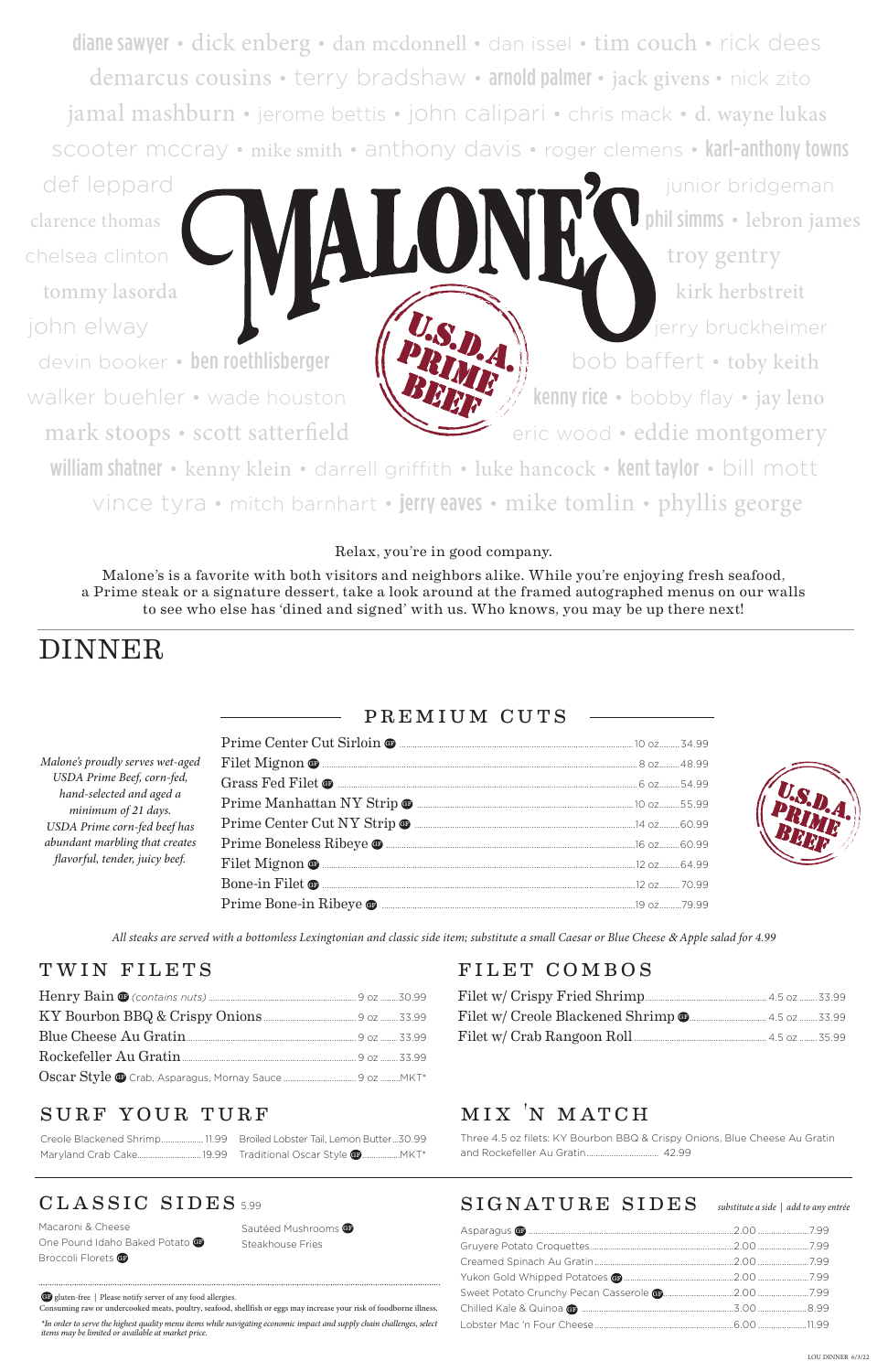diane sawyer • dick enberg • dan mcdonnell • dan issel • tim couch • rick dees demarcus cousins • terry bradshaw • arnold palmer • jack givens • nick zito jamal mashburn • jerome bettis • john calipari • chris mack • d. wayne lukas scooter mccray • mike smith • anthony davis • roger clemens • karl-anthony towns def leppard **in the state of the state of the state of the state of the state of the state of the state of the state of the state of the state of the state of the state of the state of the state of the state of the state o** 

clarence thomas  $\blacksquare$ chelsea clinton **the set of the set of the set of the set of the set of the set of the set of the set of the set of the set of the set of the set of the set of the set of the set of the set of the set of the set of the set** tommy lasorda kirk herbstreit

john elway jerry bruckheimer

devin booker • ben roethlisberger || < || < || bob baffert • toby keith walker buehler • wade houston  $\mathbf{W}$   $\mathbf{W}$   $\mathbf{W}$  kenny rice • bobby flay • jay leno

mark stoops • scott satterfield eric wood • eddie montgomery

*All steaks are served with a bottomless Lexingtonian and classic side item; substitute a small Caesar or Blue Cheese* & *Apple salad for 4.99*

Macaroni & Cheese One Pound Idaho Baked Potato Broccoli Florets GP

Sautéed Mushrooms G Steakhouse Fries

### premium cuts

Henry Bain GF *(contains nuts)* ................................................................... 9 oz ........30.99

### TWIN FILETS FILET COMBOS

| Blue Cheese Au Gratin |  |
|-----------------------|--|
|                       |  |
|                       |  |

### SURF YOUR TURF

william shatner • kenny klein • darrell griffith • luke hancock • kent taylor • bill mott vince tyra • mitch barnhart • **j**erry eaves • mike tomlin • phyllis george

| Malone's proudly serves wet-aged                                                                                                                    |                                                                                                                                                                                                                                                                                                                                                                                                                                                            |  |
|-----------------------------------------------------------------------------------------------------------------------------------------------------|------------------------------------------------------------------------------------------------------------------------------------------------------------------------------------------------------------------------------------------------------------------------------------------------------------------------------------------------------------------------------------------------------------------------------------------------------------|--|
| USDA Prime Beef, corn-fed,                                                                                                                          |                                                                                                                                                                                                                                                                                                                                                                                                                                                            |  |
| hand-selected and aged a<br>minimum of 21 days.<br>USDA Prime corn-fed beef has<br>abundant marbling that creates<br>flavorful, tender, juicy beef. |                                                                                                                                                                                                                                                                                                                                                                                                                                                            |  |
|                                                                                                                                                     | $\bf{Prime Center Cut\ NY} \  \, \bf{Strip} \, \, \bf{\Phi} \  \, \bf{\dots} \  \, \dots \  \, \dots \  \, \dots \  \, \dots \  \, \dots \  \, \dots \  \, \dots \  \, \dots \  \, \dots \  \, \dots \  \, \dots \  \, \dots \  \, \dots \  \, \dots \  \, \dots \  \, \dots \  \, \dots \  \, \dots \  \, \dots \  \, \dots \  \, \dots \  \, \dots \  \, \dots \  \, \dots \  \, \dots \  \, \dots \  \, \dots \  \, \dots \  \, \dots \  \, \dots \  \$ |  |
|                                                                                                                                                     |                                                                                                                                                                                                                                                                                                                                                                                                                                                            |  |
|                                                                                                                                                     |                                                                                                                                                                                                                                                                                                                                                                                                                                                            |  |
|                                                                                                                                                     |                                                                                                                                                                                                                                                                                                                                                                                                                                                            |  |
|                                                                                                                                                     |                                                                                                                                                                                                                                                                                                                                                                                                                                                            |  |

Filet w/ Crispy Fried Shrimp....................................................... 4.5 oz ........33.99

### classic sides 5.99

## mix 'n match

Three 4.5 oz filets: KY Bourbon BBQ & Crispy Onions, Blue Cheese Au Gratin and Rockefeller Au Gratin................................ 42.99

| Creole Blackened Shrimp11.99 Broiled Lobster Tail, Lemon Butter30.99 |  |
|----------------------------------------------------------------------|--|
|                                                                      |  |

# DINNER

Relax, you're in good company.

Malone's is a favorite with both visitors and neighbors alike. While you're enjoying fresh seafood, a Prime steak or a signature dessert, take a look around at the framed autographed menus on our walls to see who else has 'dined and signed' with us. Who knows, you may be up there next!

*\*In order to serve the highest quality menu items while navigating economic impact and supply chain challenges, select items may be limited or available at market price.* 

### $SIGNATURE$   $SIDES$  substitute a side | add to any entrée

GF gluten-free | Please notify server of any food allergies.

Consuming raw or undercooked meats, poultry, seafood, shellfish or eggs may increase your risk of foodborne illness.